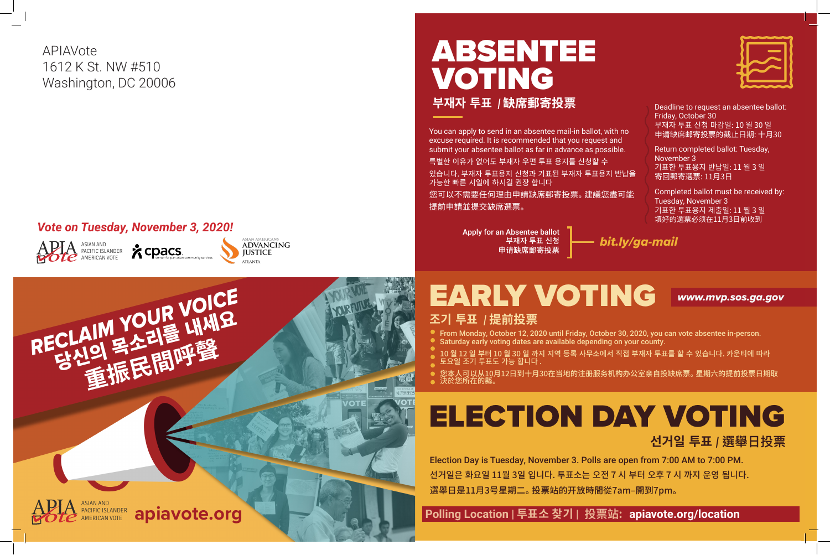





## *Vote on Tuesday, November 3, 2020!*

APIAVote 1612 K St. NW #510 Washington, DC 20006

# EARLY VOTING *www.mvp.sos.ga.gov*



**선거일 투표** *|* **選舉日投票**

 **Polling Location | 투표소 찾기 | 投票站 : apiavote.org/location**





From Monday, October 12, 2020 until Friday, October 30, 2020, you can vote absentee in-person. 10 월 12 일 부터 10 월 30 일 까지 지역 등록 사무소에서 직접 부재자 투표를 할 수 있습니다. 카운티에 따라

## ABSENTEE VOTING **부재자 투표**  *|* **缺席郵寄投票**

您本人可以从10月12日到十月30在当地的注册服务机构办公室亲自投缺席票。 星期六的提前投票日期取

You can apply to send in an absentee mail-in ballot, with no excuse required. It is recommended that you request and submit your absentee ballot as far in advance as possible. 특별한 이유가 없어도 부재자 우편 투표 용지를 신청할 수 있습니다. 부재자 투표용지 신청과 기표된 부재자 투표용지 반납을 가능한 빠른 시일에 하시길 권장 합니다

您可以不需要任何理由申請缺席郵寄投票。 建議您盡可能 提前申請並提交缺席選票。

> Apply for an Absentee ballot 부재자 투표 신청 申请缺席郵寄投票

- **조기 투표** *|* **提前投票**
- 
- Saturday early voting dates are available depending on your county.
- 
- 토요일 조기 투표도 가능 합니다 .
- 決於您所在的縣。

Deadline to request an absentee ballot: Friday, October 30 부재자 투표 신청 마감일: 10 월 30 일 申请缺席邮寄投票的截止日期: 十月30



Return completed ballot: Tuesday, November 3 기표한 투표용지 반납일: 11 월 3 일 寄回郵寄選票: 11月3日

Completed ballot must be received by: Tuesday, November 3 기표한 투표용지 제출일: 11 월 3 일 填好的選票必须在11月3日前收到



Election Day is Tuesday, November 3. Polls are open from 7:00 AM to 7:00 PM. 선거일은 화요일 11월 3일 입니다. 투표소는 오전 7 시 부터 오후 7 시 까지 운영 됩니다. 選舉日是11月3号星期二。 投票站的开放時間從7am–開到7pm。